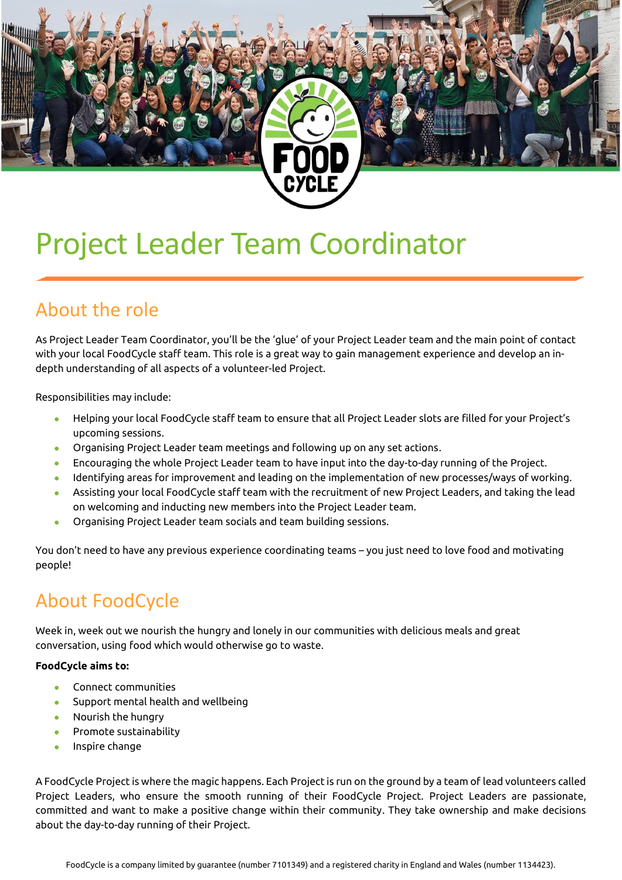# Project Leader Team Coordinator

#### About the role

As Project Leader Team Coordinator, you'll be the 'glue' of your Project Leader team and the main point of contact with your local FoodCycle staff team. This role is a great way to gain management experience and develop an indepth understanding of all aspects of a volunteer-led Project.

Responsibilities may include:

- Helping your local FoodCycle staff team to ensure that all Project Leader slots are filled for your Project's upcoming sessions.
- Organising Project Leader team meetings and following up on any set actions.
- Encouraging the whole Project Leader team to have input into the day-to-day running of the Project.
- Identifying areas for improvement and leading on the implementation of new processes/ways of working.
- Assisting your local FoodCycle staff team with the recruitment of new Project Leaders, and taking the lead on welcoming and inducting new members into the Project Leader team.
- Organising Project Leader team socials and team building sessions.

You don't need to have any previous experience coordinating teams – you just need to love food and motivating people!

#### About FoodCycle

Week in, week out we nourish the hungry and lonely in our communities with delicious meals and great conversation, using food which would otherwise go to waste.

#### **FoodCycle aims to:**

- Connect communities
- Support mental health and wellbeing
- Nourish the hungry
- Promote sustainability
- Inspire change

A FoodCycle Project is where the magic happens. Each Project is run on the ground by a team of lead volunteers called Project Leaders, who ensure the smooth running of their FoodCycle Project. Project Leaders are passionate, committed and want to make a positive change within their community. They take ownership and make decisions about the day-to-day running of their Project.